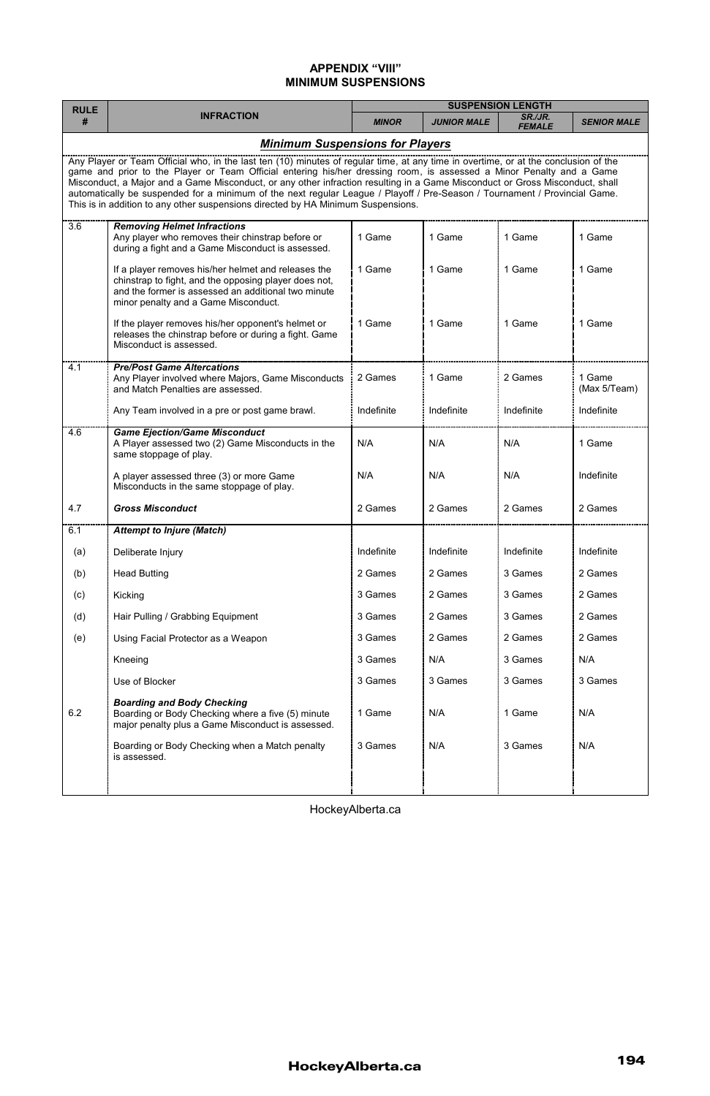## **APPENDIX "VIII" MINIMUM SUSPENSIONS**

| <b>RULE</b><br>#                                                                                                                                                                                                                                                                                                                                                                                                                                                                                                                                                                                              | <b>INFRACTION</b>                                                                                                                                                                                           | <b>SUSPENSION LENGTH</b> |                    |                          |                        |  |  |
|---------------------------------------------------------------------------------------------------------------------------------------------------------------------------------------------------------------------------------------------------------------------------------------------------------------------------------------------------------------------------------------------------------------------------------------------------------------------------------------------------------------------------------------------------------------------------------------------------------------|-------------------------------------------------------------------------------------------------------------------------------------------------------------------------------------------------------------|--------------------------|--------------------|--------------------------|------------------------|--|--|
|                                                                                                                                                                                                                                                                                                                                                                                                                                                                                                                                                                                                               |                                                                                                                                                                                                             | <b>MINOR</b>             | <b>JUNIOR MALE</b> | SR./JR.<br><b>FEMALE</b> | <b>SENIOR MALE</b>     |  |  |
| <b>Minimum Suspensions for Players</b>                                                                                                                                                                                                                                                                                                                                                                                                                                                                                                                                                                        |                                                                                                                                                                                                             |                          |                    |                          |                        |  |  |
| Any Player or Team Official who, in the last ten (10) minutes of regular time, at any time in overtime, or at the conclusion of the<br>game and prior to the Player or Team Official entering his/her dressing room, is assessed a Minor Penalty and a Game<br>Misconduct, a Major and a Game Misconduct, or any other infraction resulting in a Game Misconduct or Gross Misconduct, shall<br>automatically be suspended for a minimum of the next regular League / Playoff / Pre-Season / Tournament / Provincial Game.<br>This is in addition to any other suspensions directed by HA Minimum Suspensions. |                                                                                                                                                                                                             |                          |                    |                          |                        |  |  |
| 3.6                                                                                                                                                                                                                                                                                                                                                                                                                                                                                                                                                                                                           | <b>Removing Helmet Infractions</b>                                                                                                                                                                          |                          |                    |                          |                        |  |  |
|                                                                                                                                                                                                                                                                                                                                                                                                                                                                                                                                                                                                               | Any player who removes their chinstrap before or<br>during a fight and a Game Misconduct is assessed.                                                                                                       | 1 Game                   | 1 Game             | 1 Game                   | 1 Game                 |  |  |
|                                                                                                                                                                                                                                                                                                                                                                                                                                                                                                                                                                                                               | If a player removes his/her helmet and releases the<br>chinstrap to fight, and the opposing player does not,<br>and the former is assessed an additional two minute<br>minor penalty and a Game Misconduct. | 1 Game                   | 1 Game             | 1 Game                   | 1 Game                 |  |  |
|                                                                                                                                                                                                                                                                                                                                                                                                                                                                                                                                                                                                               | If the player removes his/her opponent's helmet or<br>releases the chinstrap before or during a fight. Game<br>Misconduct is assessed.                                                                      | 1 Game                   | 1 Game             | 1 Game                   | 1 Game                 |  |  |
| 4.1                                                                                                                                                                                                                                                                                                                                                                                                                                                                                                                                                                                                           | <b>Pre/Post Game Altercations</b><br>Any Player involved where Majors, Game Misconducts<br>and Match Penalties are assessed.                                                                                | 2 Games                  | 1 Game             | 2 Games                  | 1 Game<br>(Max 5/Team) |  |  |
|                                                                                                                                                                                                                                                                                                                                                                                                                                                                                                                                                                                                               | Any Team involved in a pre or post game brawl.                                                                                                                                                              | Indefinite               | Indefinite         | Indefinite               | Indefinite             |  |  |
| 4.6                                                                                                                                                                                                                                                                                                                                                                                                                                                                                                                                                                                                           | <b>Game Ejection/Game Misconduct</b><br>A Player assessed two (2) Game Misconducts in the<br>same stoppage of play.                                                                                         | N/A                      | N/A                | N/A                      | 1 Game                 |  |  |
|                                                                                                                                                                                                                                                                                                                                                                                                                                                                                                                                                                                                               | A player assessed three (3) or more Game<br>Misconducts in the same stoppage of play.                                                                                                                       | N/A                      | N/A                | N/A                      | Indefinite             |  |  |
| 4.7                                                                                                                                                                                                                                                                                                                                                                                                                                                                                                                                                                                                           | <b>Gross Misconduct</b>                                                                                                                                                                                     | 2 Games                  | 2 Games            | 2 Games                  | 2 Games                |  |  |
| 6.1                                                                                                                                                                                                                                                                                                                                                                                                                                                                                                                                                                                                           | <b>Attempt to Injure (Match)</b>                                                                                                                                                                            |                          |                    |                          |                        |  |  |
| (a)                                                                                                                                                                                                                                                                                                                                                                                                                                                                                                                                                                                                           | Deliberate Injury                                                                                                                                                                                           | Indefinite               | Indefinite         | Indefinite               | Indefinite             |  |  |
| (b)                                                                                                                                                                                                                                                                                                                                                                                                                                                                                                                                                                                                           | <b>Head Butting</b>                                                                                                                                                                                         | 2 Games                  | 2 Games            | 3 Games                  | 2 Games                |  |  |
| (c)                                                                                                                                                                                                                                                                                                                                                                                                                                                                                                                                                                                                           | Kicking                                                                                                                                                                                                     | 3 Games                  | 2 Games            | 3 Games                  | 2 Games                |  |  |
| (d)                                                                                                                                                                                                                                                                                                                                                                                                                                                                                                                                                                                                           | Hair Pulling / Grabbing Equipment                                                                                                                                                                           | 3 Games                  | 2 Games            | 3 Games                  | 2 Games                |  |  |
| (e)                                                                                                                                                                                                                                                                                                                                                                                                                                                                                                                                                                                                           | Using Facial Protector as a Weapon                                                                                                                                                                          | 3 Games                  | 2 Games            | 2 Games                  | 2 Games                |  |  |
|                                                                                                                                                                                                                                                                                                                                                                                                                                                                                                                                                                                                               | Kneeing                                                                                                                                                                                                     | 3 Games                  | N/A                | 3 Games                  | N/A                    |  |  |
|                                                                                                                                                                                                                                                                                                                                                                                                                                                                                                                                                                                                               | Use of Blocker                                                                                                                                                                                              | 3 Games                  | 3 Games            | 3 Games                  | 3 Games                |  |  |
| 6.2                                                                                                                                                                                                                                                                                                                                                                                                                                                                                                                                                                                                           | <b>Boarding and Body Checking</b><br>Boarding or Body Checking where a five (5) minute<br>major penalty plus a Game Misconduct is assessed.                                                                 | 1 Game                   | N/A                | 1 Game                   | N/A                    |  |  |
|                                                                                                                                                                                                                                                                                                                                                                                                                                                                                                                                                                                                               | Boarding or Body Checking when a Match penalty<br>is assessed.                                                                                                                                              | 3 Games                  | N/A                | 3 Games                  | N/A                    |  |  |
|                                                                                                                                                                                                                                                                                                                                                                                                                                                                                                                                                                                                               |                                                                                                                                                                                                             |                          |                    |                          |                        |  |  |

HockeyAlberta.ca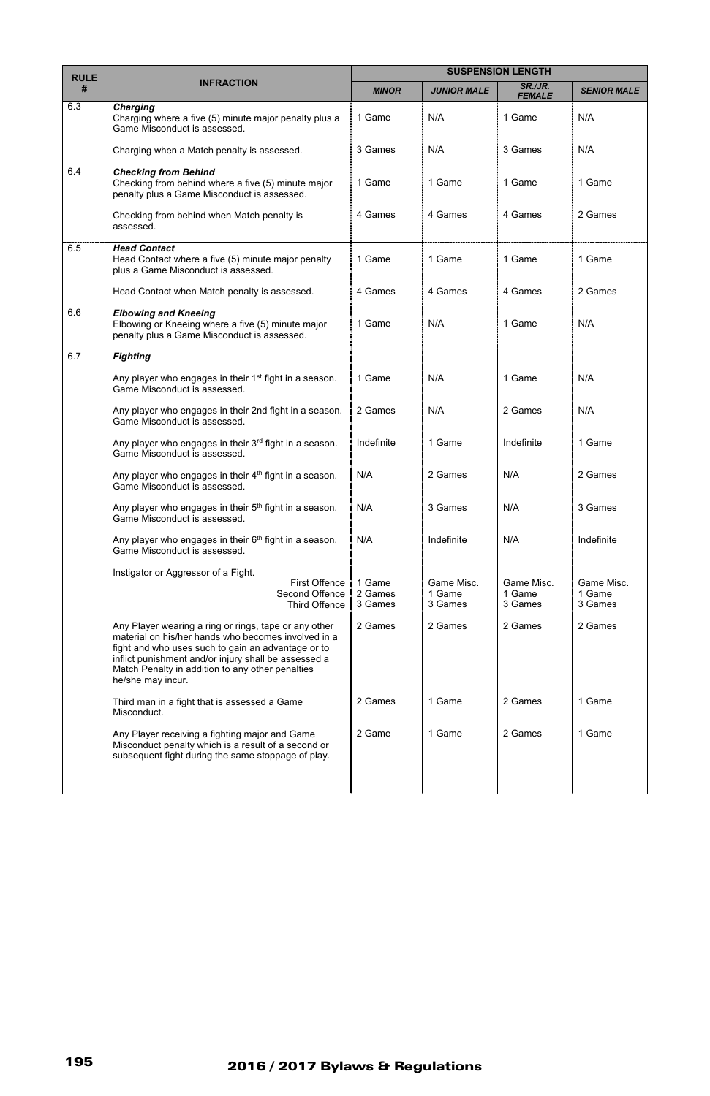| <b>RULE</b><br># | <b>INFRACTION</b>                                                                                                                                                                                                                                                                                   | <b>SUSPENSION LENGTH</b>     |                                 |                                 |                                 |
|------------------|-----------------------------------------------------------------------------------------------------------------------------------------------------------------------------------------------------------------------------------------------------------------------------------------------------|------------------------------|---------------------------------|---------------------------------|---------------------------------|
|                  |                                                                                                                                                                                                                                                                                                     | <b>MINOR</b>                 | <b>JUNIOR MALE</b>              | SR./JR.<br><b>FEMALE</b>        | <b>SENIOR MALE</b>              |
| 6.3              | Charging<br>Charging where a five (5) minute major penalty plus a<br>Game Misconduct is assessed.                                                                                                                                                                                                   | 1 Game                       | N/A                             | 1 Game                          | N/A                             |
|                  | Charging when a Match penalty is assessed.                                                                                                                                                                                                                                                          | 3 Games                      | N/A                             | 3 Games                         | N/A                             |
| 6.4              | <b>Checking from Behind</b><br>Checking from behind where a five (5) minute major<br>penalty plus a Game Misconduct is assessed.                                                                                                                                                                    | 1 Game                       | 1 Game                          | 1 Game                          | 1 Game                          |
|                  | Checking from behind when Match penalty is<br>assessed.                                                                                                                                                                                                                                             | 4 Games                      | 4 Games                         | 4 Games                         | 2 Games                         |
| 6.5              | <b>Head Contact</b><br>Head Contact where a five (5) minute major penalty<br>plus a Game Misconduct is assessed.                                                                                                                                                                                    | 1 Game                       | 1 Game                          | 1 Game                          | 1 Game                          |
|                  | Head Contact when Match penalty is assessed.                                                                                                                                                                                                                                                        | 4 Games                      | 4 Games                         | 4 Games                         | 2 Games                         |
| 6.6              | <b>Elbowing and Kneeing</b><br>Elbowing or Kneeing where a five (5) minute major<br>penalty plus a Game Misconduct is assessed.                                                                                                                                                                     | 1 Game                       | N/A                             | 1 Game                          | N/A                             |
| 6.7              | <b>Fighting</b>                                                                                                                                                                                                                                                                                     |                              |                                 |                                 |                                 |
|                  | Any player who engages in their 1 <sup>st</sup> fight in a season.<br>Game Misconduct is assessed.                                                                                                                                                                                                  | 1 Game                       | N/A                             | 1 Game                          | N/A                             |
|                  | Any player who engages in their 2nd fight in a season.<br>Game Misconduct is assessed.                                                                                                                                                                                                              | 2 Games                      | N/A                             | 2 Games                         | N/A                             |
|                  | Any player who engages in their 3rd fight in a season.<br>Game Misconduct is assessed.                                                                                                                                                                                                              | Indefinite                   | 1 Game                          | Indefinite                      | 1 Game                          |
|                  | Any player who engages in their 4 <sup>th</sup> fight in a season.<br>Game Misconduct is assessed.                                                                                                                                                                                                  | N/A                          | 2 Games                         | N/A                             | 2 Games                         |
|                  | Any player who engages in their 5 <sup>th</sup> fight in a season.<br>Game Misconduct is assessed.                                                                                                                                                                                                  | N/A                          | 3 Games                         | N/A                             | 3 Games                         |
|                  | Any player who engages in their 6 <sup>th</sup> fight in a season.<br>Game Misconduct is assessed.                                                                                                                                                                                                  | N/A                          | Indefinite                      | N/A                             | Indefinite                      |
|                  | Instigator or Aggressor of a Fight.<br>First Offence<br>Second Offence<br>Third Offence                                                                                                                                                                                                             | 1 Game<br>2 Games<br>3 Games | Game Misc.<br>1 Game<br>3 Games | Game Misc.<br>1 Game<br>3 Games | Game Misc.<br>1 Game<br>3 Games |
|                  | Any Player wearing a ring or rings, tape or any other<br>material on his/her hands who becomes involved in a<br>fight and who uses such to gain an advantage or to<br>inflict punishment and/or injury shall be assessed a<br>Match Penalty in addition to any other penalties<br>he/she may incur. | 2 Games                      | 2 Games                         | 2 Games                         | 2 Games                         |
|                  | Third man in a fight that is assessed a Game<br>Misconduct.                                                                                                                                                                                                                                         | 2 Games                      | 1 Game                          | 2 Games                         | 1 Game                          |
|                  | Any Player receiving a fighting major and Game<br>Misconduct penalty which is a result of a second or<br>subsequent fight during the same stoppage of play.                                                                                                                                         | 2 Game                       | 1 Game                          | 2 Games                         | 1 Game                          |
|                  |                                                                                                                                                                                                                                                                                                     |                              |                                 |                                 |                                 |